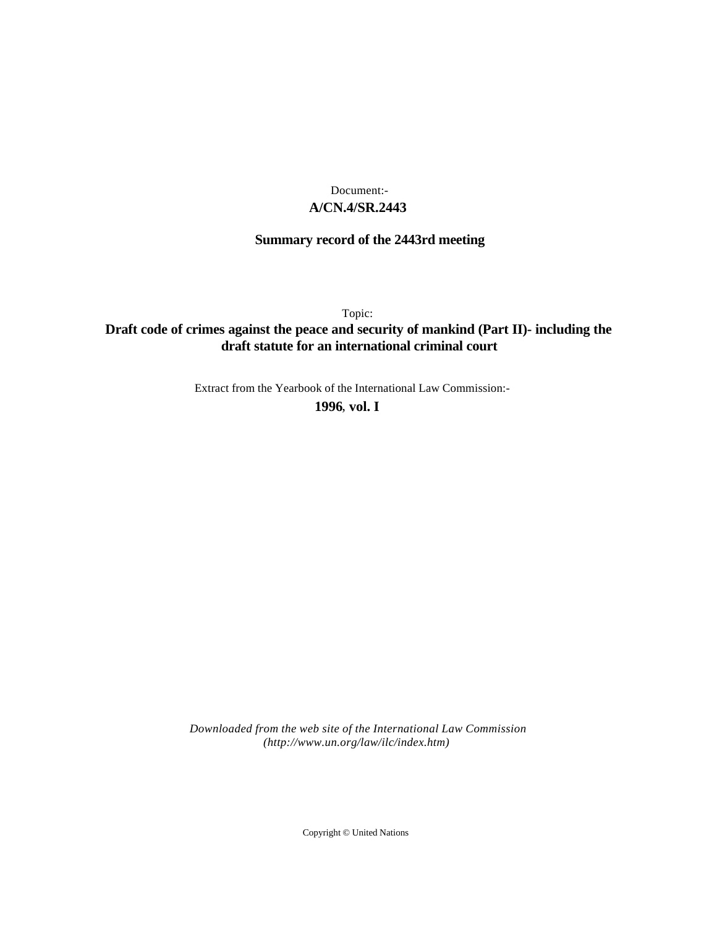### **A/CN.4/SR.2443** Document:-

# **Summary record of the 2443rd meeting**

Topic:

## **Draft code of crimes against the peace and security of mankind (Part II)- including the draft statute for an international criminal court**

Extract from the Yearbook of the International Law Commission:-

**1996** , **vol. I**

*Downloaded from the web site of the International Law Commission (http://www.un.org/law/ilc/index.htm)*

Copyright © United Nations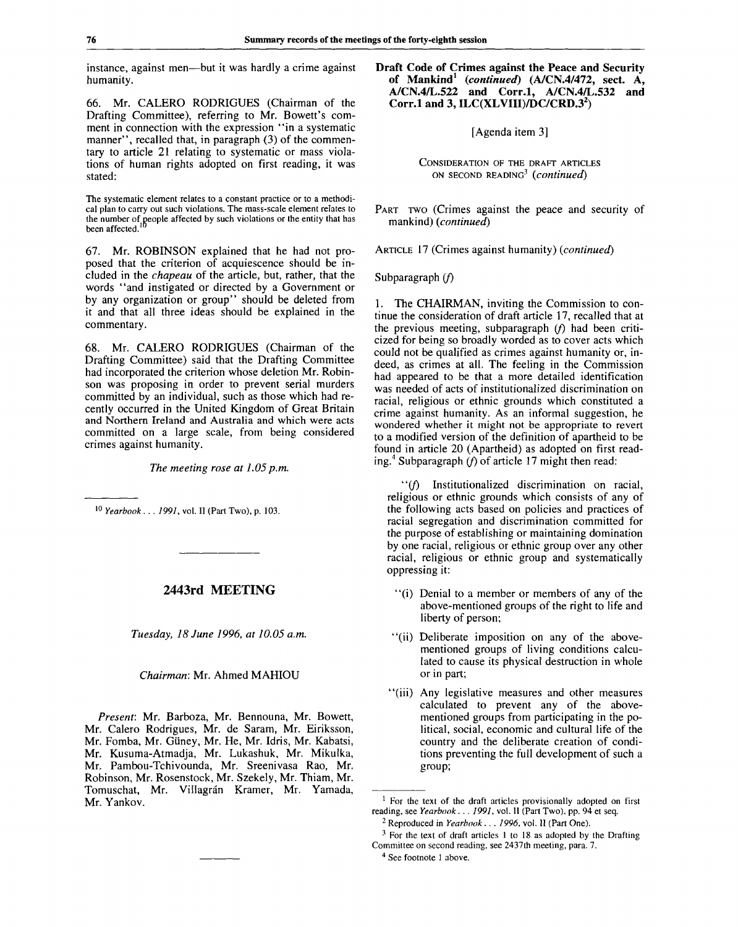instance, against men—but it was hardly a crime against humanity.

66. Mr. CALERO RODRIGUES (Chairman of the Drafting Committee), referring to Mr. Bowett's comment in connection with the expression "in a systematic manner", recalled that, in paragraph (3) of the commentary to article 21 relating to systematic or mass violations of human rights adopted on first reading, it was stated:

The systematic element relates to a constant practice or to a methodical plan to carry out such violations. The mass-scale element relates to the number of people affected by such violations or the entity that has been affected.<sup>1</sup>**10 r**

67. Mr. ROBINSON explained that he had not proposed that the criterion of acquiescence should be included in the *chapeau* of the article, but, rather, that the words "and instigated or directed by a Government or by any organization or group" should be deleted from it and that all three ideas should be explained in the commentary.

68. Mr. CALERO RODRIGUES (Chairman of the Drafting Committee) said that the Drafting Committee had incorporated the criterion whose deletion Mr. Robinson was proposing in order to prevent serial murders committed by an individual, such as those which had recently occurred in the United Kingdom of Great Britain and Northern Ireland and Australia and which were acts committed on a large scale, from being considered crimes against humanity.

*The meeting rose at 1.05 p.m.*

10  *Yearbook . . . 1991,* vol. II (Part Two), p. 103.

#### **2443rd MEETING**

*Tuesday, 18 June 1996, at 10.05 a.m.*

#### *Chairman:* Mr. Ahmed MAHIOU

*Present:* Mr. Barboza, Mr. Bennouna, Mr. Bowett, Mr. Calero Rodrigues, Mr. de Saram, Mr. Eiriksson, Mr. Fomba, Mr. Giiney, Mr. He, Mr. Idris, Mr. Kabatsi, Mr. Kusuma-Atmadja, Mr. Lukashuk, Mr. Mikulka, Mr. Pambou-Tchivounda, Mr. Sreenivasa Rao, Mr. Robinson, Mr. Rosenstock, Mr. Szekely, Mr. Thiam, Mr. Tomuschat, Mr. Villagrán Kramer, Mr. Yamada, Mr. Yankov.

**Draft Code of Crimes against the Peace and Security of Mankind<sup>1</sup>**  *(continued)* **(A/CN.4/472, sect. A, A/CN.4/L.522 and Corr.l, A/CN.4/L.532 and Corr.l and 3, ILC(XLVIII)/DC/CRD.3<sup>2</sup> )**

[Agenda item 3]

CONSIDERATION OF THE DRAFT ARTICLES ON SECOND READING<sup>3</sup>  *(continued)*

PART TWO (Crimes against the peace and security of mankind) *(continued)*

ARTICLE 17 (Crimes against humanity) *(continued)*

Subparagraph *if)*

1. The CHAIRMAN, inviting the Commission to continue the consideration of draft article 17, recalled that at the previous meeting, subparagraph  $(f)$  had been criticized for being so broadly worded as to cover acts which could not be qualified as crimes against humanity or, indeed, as crimes at all. The feeling in the Commission had appeared to be that a more detailed identification was needed of acts of institutionalized discrimination on racial, religious or ethnic grounds which constituted a crime against humanity. As an informal suggestion, he wondered whether it might not be appropriate to revert to a modified version of the definition of apartheid to be found in article 20 (Apartheid) as adopted on first reading.<sup>4</sup> Subparagraph *(f)* of article 17 might then read:

"(/) Institutionalized discrimination on racial, religious or ethnic grounds which consists of any of the following acts based on policies and practices of racial segregation and discrimination committed for the purpose of establishing or maintaining domination by one racial, religious or ethnic group over any other racial, religious or ethnic group and systematically oppressing it:

- "(i) Denial to a member or members of any of the above-mentioned groups of the right to life and liberty of person;
- "(ii) Deliberate imposition on any of the abovementioned groups of living conditions calculated to cause its physical destruction in whole or in part;
- "(iii) Any legislative measures and other measures calculated to prevent any of the abovementioned groups from participating in the political, social, economic and cultural life of the country and the deliberate creation of conditions preventing the full development of such a group;

<sup>&</sup>lt;sup>1</sup> For the text of the draft articles provisionally adopted on first reading, see Yearbook . . . 1991, vol. II (Part Two), pp. 94 et seq.

<sup>2</sup> Reproduced in *Yearbook . . . 1996,* vol. II (Part One).

 $3$  For the text of draft articles 1 to 18 as adopted by the Drafting Committee on second reading, see 2437th meeting, para. 7.

<sup>4</sup> See footnote 1 above.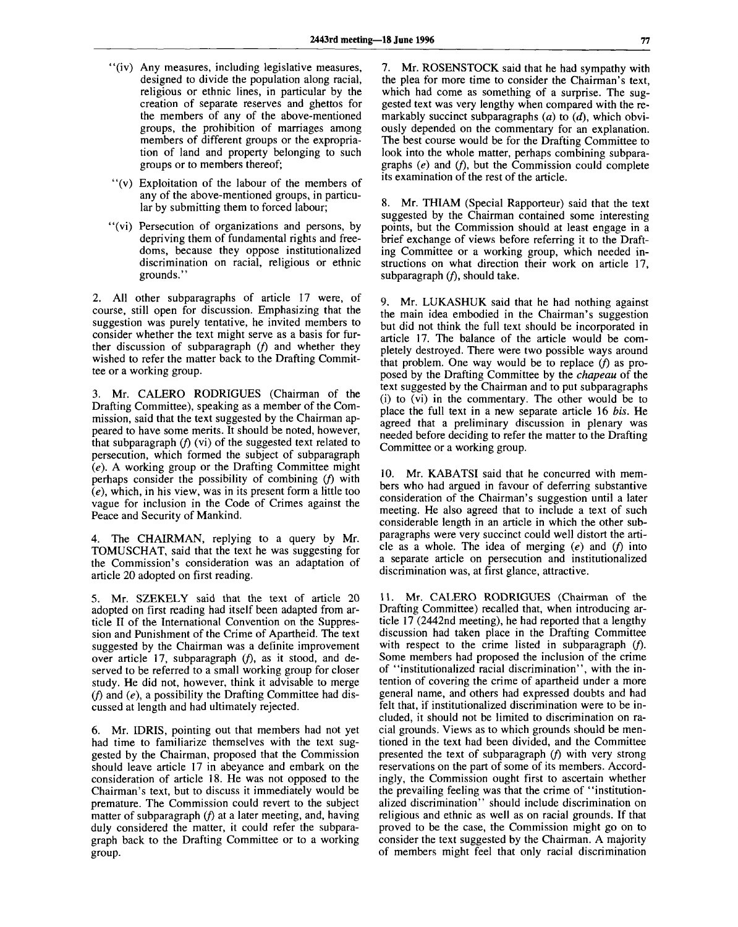- "(iv) Any measures, including legislative measures, designed to divide the population along racial, religious or ethnic lines, in particular by the creation of separate reserves and ghettos for the members of any of the above-mentioned groups, the prohibition of marriages among members of different groups or the expropriation of land and property belonging to such groups or to members thereof;
- "(v) Exploitation of the labour of the members of any of the above-mentioned groups, in particular by submitting them to forced labour;
- "(vi) Persecution of organizations and persons, by depriving them of fundamental rights and freedoms, because they oppose institutionalized discrimination on racial, religious or ethnic grounds."

2. All other subparagraphs of article 17 were, of course, still open for discussion. Emphasizing that the suggestion was purely tentative, he invited members to consider whether the text might serve as a basis for further discussion of subparagraph  $(f)$  and whether they wished to refer the matter back to the Drafting Committee or a working group.

Mr. CALERO RODRIGUES (Chairman of the Drafting Committee), speaking as a member of the Commission, said that the text suggested by the Chairman appeared to have some merits. It should be noted, however, that subparagraph  $(f)$  (vi) of the suggested text related to persecution, which formed the subject of subparagraph *(e).* A working group or the Drafting Committee might perhaps consider the possibility of combining *(f)* with *(e),* which, in his view, was in its present form a little too vague for inclusion in the Code of Crimes against the Peace and Security of Mankind.

4. The CHAIRMAN, replying to a query by Mr. TOMUSCHAT, said that the text he was suggesting for the Commission's consideration was an adaptation of article 20 adopted on first reading.

5. Mr. SZEKELY said that the text of article 20 adopted on first reading had itself been adapted from article II of the International Convention on the Suppression and Punishment of the Crime of Apartheid. The text suggested by the Chairman was a definite improvement over article 17, subparagraph  $(f)$ , as it stood, and deserved to be referred to a small working group for closer study. He did not, however, think it advisable to merge *if)* and *(e),* a possibility the Drafting Committee had discussed at length and had ultimately rejected.

6. Mr. IDRIS, pointing out that members had not yet had time to familiarize themselves with the text suggested by the Chairman, proposed that the Commission should leave article 17 in abeyance and embark on the consideration of article 18. He was not opposed to the Chairman's text, but to discuss it immediately would be premature. The Commission could revert to the subject matter of subparagraph (f) at a later meeting, and, having duly considered the matter, it could refer the subparagraph back to the Drafting Committee or to a working group.

7. Mr. ROSENSTOCK said that he had sympathy with the plea for more time to consider the Chairman's text, which had come as something of a surprise. The suggested text was very lengthy when compared with the remarkably succinct subparagraphs (a) to *(d),* which obviously depended on the commentary for an explanation. The best course would be for the Drafting Committee to look into the whole matter, perhaps combining subparagraphs (e) and (f), but the Commission could complete its examination of the rest of the article.

8. Mr. THIAM (Special Rapporteur) said that the text suggested by the Chairman contained some interesting points, but the Commission should at least engage in a brief exchange of views before referring it to the Drafting Committee or a working group, which needed instructions on what direction their work on article 17, subparagraph  $(f)$ , should take.

9. Mr. LUKASHUK said that he had nothing against the main idea embodied in the Chairman's suggestion but did not think the full text should be incorporated in article 17. The balance of the article would be completely destroyed. There were two possible ways around that problem. One way would be to replace *(f)* as proposed by the Drafting Committee by the *chapeau* of the text suggested by the Chairman and to put subparagraphs (i) to (vi) in the commentary. The other would be to place the full text in a new separate article 16 *bis.* He agreed that a preliminary discussion in plenary was needed before deciding to refer the matter to the Drafting Committee or a working group.

10. Mr. KABATSI said that he concurred with members who had argued in favour of deferring substantive consideration of the Chairman's suggestion until a later meeting. He also agreed that to include a text of such considerable length in an article in which the other subparagraphs were very succinct could well distort the article as a whole. The idea of merging  $(e)$  and  $(f)$  into a separate article on persecution and institutionalized discrimination was, at first glance, attractive.

11. Mr. CALERO RODRIGUES (Chairman of the Drafting Committee) recalled that, when introducing article 17 (2442nd meeting), he had reported that a lengthy discussion had taken place in the Drafting Committee with respect to the crime listed in subparagraph  $(f)$ . Some members had proposed the inclusion of the crime of "institutionalized racial discrimination", with the intention of covering the crime of apartheid under a more general name, and others had expressed doubts and had felt that, if institutionalized discrimination were to be included, it should not be limited to discrimination on racial grounds. Views as to which grounds should be mentioned in the text had been divided, and the Committee presented the text of subparagraph *if)* with very strong reservations on the part of some of its members. Accordingly, the Commission ought first to ascertain whether the prevailing feeling was that the crime of "institutionalized discrimination" should include discrimination on religious and ethnic as well as on racial grounds. If that proved to be the case, the Commission might go on to consider the text suggested by the Chairman. A majority of members might feel that only racial discrimination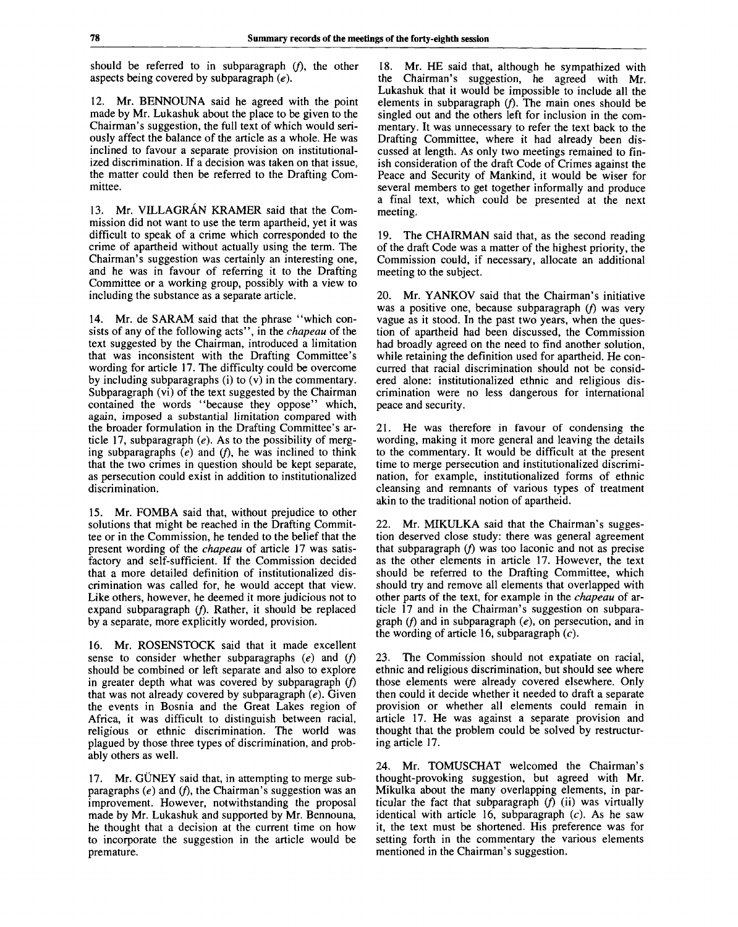should be referred to in subparagraph *if),* the other aspects being covered by subparagraph *(e).*

12. Mr. BENNOUNA said he agreed with the point made by Mr. Lukashuk about the place to be given to the Chairman's suggestion, the full text of which would seriously affect the balance of the article as a whole. He was inclined to favour a separate provision on institutionalized discrimination. If a decision was taken on that issue, the matter could then be referred to the Drafting Committee.

13. Mr. VILLAGRÁN KRAMER said that the Commission did not want to use the term apartheid, yet it was difficult to speak of a crime which corresponded to the crime of apartheid without actually using the term. The Chairman's suggestion was certainly an interesting one, and he was in favour of referring it to the Drafting Committee or a working group, possibly with a view to including the substance as a separate article.

14. Mr. de SARAM said that the phrase "which consists of any of the following acts", in the *chapeau* of the text suggested by the Chairman, introduced a limitation that was inconsistent with the Drafting Committee's wording for article 17. The difficulty could be overcome by including subparagraphs (i) to (v) in the commentary. Subparagraph (vi) of the text suggested by the Chairman contained the words "because they oppose" which, again, imposed a substantial limitation compared with the broader formulation in the Drafting Committee's article 17, subparagraph *(e).* As to the possibility of merging subparagraphs *(e)* and *if),* he was inclined to think that the two crimes in question should be kept separate, as persecution could exist in addition to institutionalized discrimination.

15. Mr. FOMBA said that, without prejudice to other solutions that might be reached in the Drafting Committee or in the Commission, he tended to the belief that the present wording of the *chapeau* of article 17 was satisfactory and self-sufficient. If the Commission decided that a more detailed definition of institutionalized discrimination was called for, he would accept that view. Like others, however, he deemed it more judicious not to expand subparagraph (f). Rather, it should be replaced by a separate, more explicitly worded, provision.

16. Mr. ROSENSTOCK said that it made excellent sense to consider whether subparagraphs *(e)* and *if)* should be combined or left separate and also to explore in greater depth what was covered by subparagraph *if)* that was not already covered by subparagraph *(e).* Given the events in Bosnia and the Great Lakes region of Africa, it was difficult to distinguish between racial, religious or ethnic discrimination. The world was plagued by those three types of discrimination, and probably others as well.

17. Mr. GÜNEY said that, in attempting to merge subparagraphs *(e)* and *if),* the Chairman's suggestion was an improvement. However, notwithstanding the proposal made by Mr. Lukashuk and supported by Mr. Bennouna, he thought that a decision at the current time on how to incorporate the suggestion in the article would be premature.

18. Mr. HE said that, although he sympathized with the Chairman's suggestion, he agreed with Mr. Lukashuk that it would be impossible to include all the elements in subparagraph *if).* The main ones should be singled out and the others left for inclusion in the commentary. It was unnecessary to refer the text back to the Drafting Committee, where it had already been discussed at length. As only two meetings remained to finish consideration of the draft Code of Crimes against the Peace and Security of Mankind, it would be wiser for several members to get together informally and produce a final text, which could be presented at the next meeting.

19. The CHAIRMAN said that, as the second reading of the draft Code was a matter of the highest priority, the Commission could, if necessary, allocate an additional meeting to the subject.

20. Mr. YANKOV said that the Chairman's initiative was a positive one, because subparagraph (f) was very vague as it stood. In the past two years, when the question of apartheid had been discussed, the Commission had broadly agreed on the need to find another solution, while retaining the definition used for apartheid. He concurred that racial discrimination should not be considered alone: institutionalized ethnic and religious discrimination were no less dangerous for international peace and security.

21. He was therefore in favour of condensing the wording, making it more general and leaving the details to the commentary. It would be difficult at the present time to merge persecution and institutionalized discrimination, for example, institutionalized forms of ethnic cleansing and remnants of various types of treatment akin to the traditional notion of apartheid.

22. Mr. MIKULKA said that the Chairman's suggestion deserved close study: there was general agreement that subparagraph *if)* was too laconic and not as precise as the other elements in article 17. However, the text should be referred to the Drafting Committee, which should try and remove all elements that overlapped with other parts of the text, for example in the *chapeau* of article 17 and in the Chairman's suggestion on subparagraph *if)* and in subparagraph *(e),* on persecution, and in the wording of article 16, subparagraph  $(c)$ .

23. The Commission should not expatiate on racial, ethnic and religious discrimination, but should see where those elements were already covered elsewhere. Only then could it decide whether it needed to draft a separate provision or whether all elements could remain in article 17. He was against a separate provision and thought that the problem could be solved by restructuring article 17.

24. Mr. TOMUSCHAT welcomed the Chairman's thought-provoking suggestion, but agreed with Mr. Mikulka about the many overlapping elements, in particular the fact that subparagraph *if)* (ii) was virtually identical with article 16, subparagraph  $(c)$ . As he saw it, the text must be shortened. His preference was for setting forth in the commentary the various elements mentioned in the Chairman's suggestion.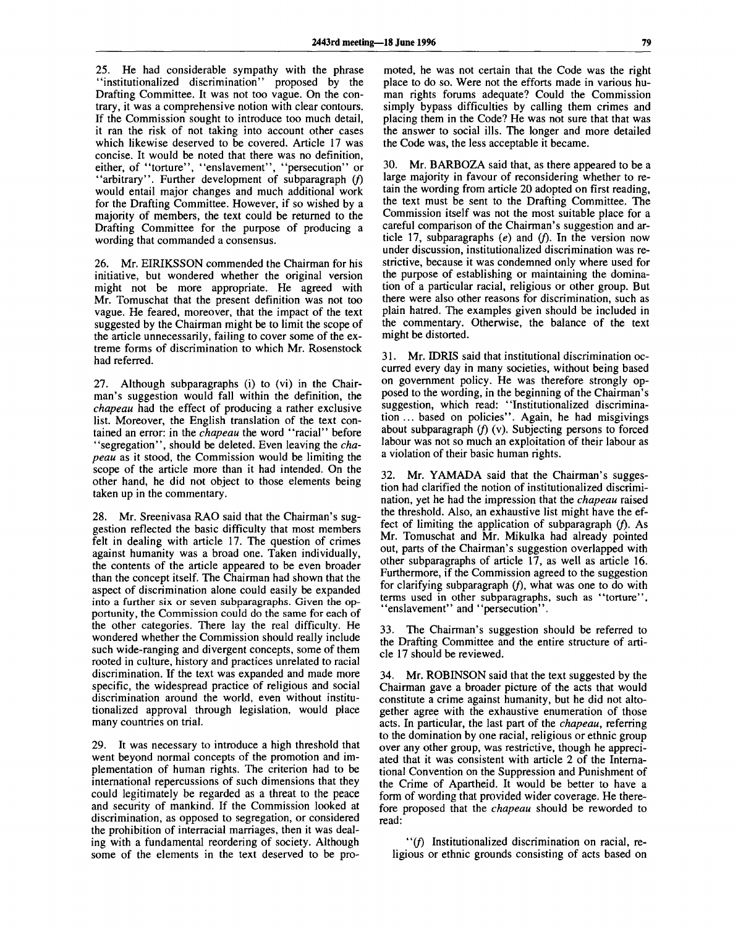25. He had considerable sympathy with the phrase "institutionalized discrimination" proposed by the Drafting Committee. It was not too vague. On the contrary, it was a comprehensive notion with clear contours. If the Commission sought to introduce too much detail, it ran the risk of not taking into account other cases which likewise deserved to be covered. Article 17 was concise. It would be noted that there was no definition, either, of "torture", "enslavement", "persecution" or "arbitrary". Further development of subparagraph *if)* would entail major changes and much additional work for the Drafting Committee. However, if so wished by a majority of members, the text could be returned to the Drafting Committee for the purpose of producing a wording that commanded a consensus.

26. Mr. EIRIKSSON commended the Chairman for his initiative, but wondered whether the original version might not be more appropriate. He agreed with Mr. Tomuschat that the present definition was not too vague. He feared, moreover, that the impact of the text suggested by the Chairman might be to limit the scope of the article unnecessarily, failing to cover some of the extreme forms of discrimination to which Mr. Rosenstock had referred.

27. Although subparagraphs (i) to (vi) in the Chairman's suggestion would fall within the definition, the *chapeau* had the effect of producing a rather exclusive list. Moreover, the English translation of the text contained an error: in the *chapeau* the word "racial" before "segregation", should be deleted. Even leaving the *chapeau* as it stood, the Commission would be limiting the scope of the article more than it had intended. On the other hand, he did not object to those elements being taken up in the commentary.

28. Mr. Sreenivasa RAO said that the Chairman's suggestion reflected the basic difficulty that most members felt in dealing with article 17. The question of crimes against humanity was a broad one. Taken individually, the contents of the article appeared to be even broader than the concept itself. The Chairman had shown that the aspect of discrimination alone could easily be expanded into a further six or seven subparagraphs. Given the opportunity, the Commission could do the same for each of the other categories. There lay the real difficulty. He wondered whether the Commission should really include such wide-ranging and divergent concepts, some of them rooted in culture, history and practices unrelated to racial discrimination. If the text was expanded and made more specific, the widespread practice of religious and social discrimination around the world, even without institutionalized approval through legislation, would place many countries on trial.

29. It was necessary to introduce a high threshold that went beyond normal concepts of the promotion and implementation of human rights. The criterion had to be international repercussions of such dimensions that they could legitimately be regarded as a threat to the peace and security of mankind. If the Commission looked at discrimination, as opposed to segregation, or considered the prohibition of interracial marriages, then it was dealing with a fundamental reordering of society. Although some of the elements in the text deserved to be pro-

moted, he was not certain that the Code was the right place to do so. Were not the efforts made in various human rights forums adequate? Could the Commission simply bypass difficulties by calling them crimes and placing them in the Code? He was not sure that that was the answer to social ills. The longer and more detailed the Code was, the less acceptable it became.

30. Mr. BARBOZA said that, as there appeared to be a large majority in favour of reconsidering whether to retain the wording from article 20 adopted on first reading, the text must be sent to the Drafting Committee. The Commission itself was not the most suitable place for a careful comparison of the Chairman's suggestion and article 17, subparagraphs  $(e)$  and  $(f)$ . In the version now under discussion, institutionalized discrimination was restrictive, because it was condemned only where used for the purpose of establishing or maintaining the domination of a particular racial, religious or other group. But there were also other reasons for discrimination, such as plain hatred. The examples given should be included in the commentary. Otherwise, the balance of the text might be distorted.

31. Mr. IDRIS said that institutional discrimination occurred every day in many societies, without being based on government policy. He was therefore strongly opposed to the wording, in the beginning of the Chairman's suggestion, which read: "Institutionalized discrimination ... based on policies". Again, he had misgivings about subparagraph  $(f)$  (v). Subjecting persons to forced labour was not so much an exploitation of their labour as a violation of their basic human rights.

32. Mr. YAMADA said that the Chairman's suggestion had clarified the notion of institutionalized discrimination, yet he had the impression that the *chapeau* raised the threshold. Also, an exhaustive list might have the effect of limiting the application of subparagraph  $(f)$ . As Mr. Tomuschat and Mr. Mikulka had already pointed out, parts of the Chairman's suggestion overlapped with other subparagraphs of article 17, as well as article 16. Furthermore, if the Commission agreed to the suggestion for clarifying subparagraph  $(f)$ , what was one to do with terms used in other subparagraphs, such as "torture", "enslavement" and "persecution".

33. The Chairman's suggestion should be referred to the Drafting Committee and the entire structure of article 17 should be reviewed.

34. Mr. ROBINSON said that the text suggested by the Chairman gave a broader picture of the acts that would constitute a crime against humanity, but he did not altogether agree with the exhaustive enumeration of those acts. In particular, the last part of the *chapeau,* referring to the domination by one racial, religious or ethnic group over any other group, was restrictive, though he appreciated that it was consistent with article 2 of the International Convention on the Suppression and Punishment of the Crime of Apartheid. It would be better to have a form of wording that provided wider coverage. He therefore proposed that the *chapeau* should be reworded to read:

"(/) Institutionalized discrimination on racial, religious or ethnic grounds consisting of acts based on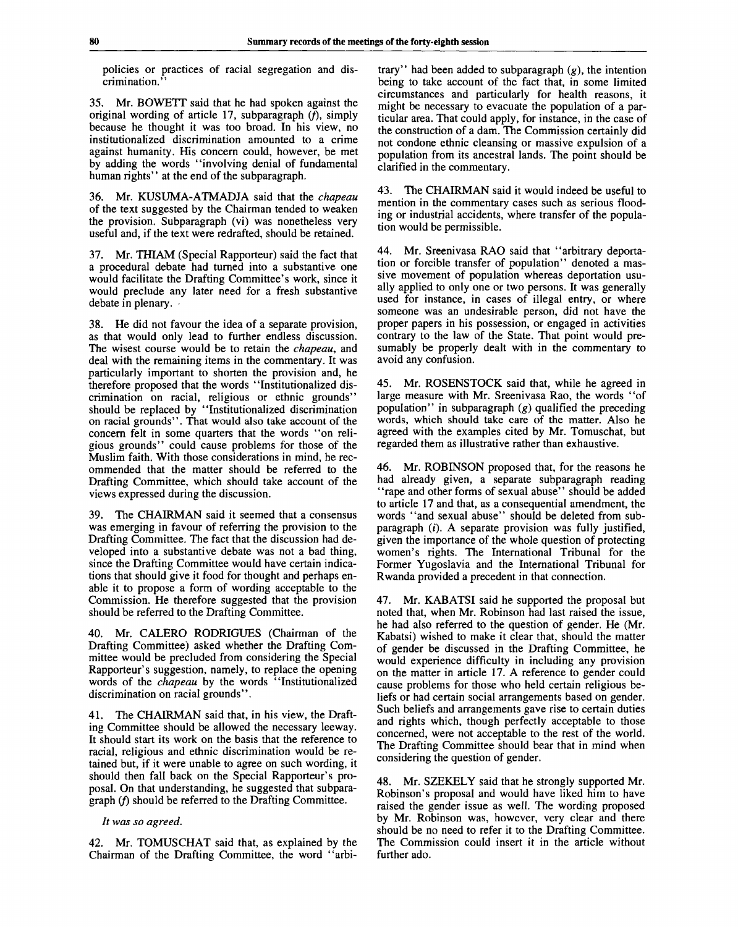policies or practices of racial segregation and discrimination."

35. Mr. BOWETT said that he had spoken against the original wording of article 17, subparagraph  $(f)$ , simply because he thought it was too broad. In his view, no institutionalized discrimination amounted to a crime against humanity. His concern could, however, be met by adding the words "involving denial of fundamental human rights'' at the end of the subparagraph.

36. Mr. KUSUMA-ATMADJA said that the *chapeau* of the text suggested by the Chairman tended to weaken the provision. Subparagraph (vi) was nonetheless very useful and, if the text were redrafted, should be retained.

37. Mr. THIAM (Special Rapporteur) said the fact that a procedural debate had turned into a substantive one would facilitate the Drafting Committee's work, since it would preclude any later need for a fresh substantive debate in plenary.

38. He did not favour the idea of a separate provision, as that would only lead to further endless discussion. The wisest course would be to retain the *chapeau,* and deal with the remaining items in the commentary. It was particularly important to shorten the provision and, he therefore proposed that the words "Institutionalized discrimination on racial, religious or ethnic grounds" should be replaced by "Institutionalized discrimination on racial grounds". That would also take account of the concern felt in some quarters that the words "on religious grounds" could cause problems for those of the Muslim faith. With those considerations in mind, he recommended that the matter should be referred to the Drafting Committee, which should take account of the views expressed during the discussion.

39. The CHAIRMAN said it seemed that a consensus was emerging in favour of referring the provision to the Drafting Committee. The fact that the discussion had developed into a substantive debate was not a bad thing, since the Drafting Committee would have certain indications that should give it food for thought and perhaps enable it to propose a form of wording acceptable to the Commission. He therefore suggested that the provision should be referred to the Drafting Committee.

40. Mr. CALERO RODRIGUES (Chairman of the Drafting Committee) asked whether the Drafting Committee would be precluded from considering the Special Rapporteur's suggestion, namely, to replace the opening words of the *chapeau* by the words "Institutionalized discrimination on racial grounds".

41. The CHAIRMAN said that, in his view, the Drafting Committee should be allowed the necessary leeway. It should start its work on the basis that the reference to racial, religious and ethnic discrimination would be retained but, if it were unable to agree on such wording, it should then fall back on the Special Rapporteur's proposal. On that understanding, he suggested that subparagraph  $(f)$  should be referred to the Drafting Committee.

*It was so agreed.*

42. Mr. TOMUSCHAT said that, as explained by the Chairman of the Drafting Committee, the word "arbi-

trary" had been added to subparagraph  $(g)$ , the intention being to take account of the fact that, in some limited circumstances and particularly for health reasons, it might be necessary to evacuate the population of a particular area. That could apply, for instance, in the case of the construction of a dam. The Commission certainly did not condone ethnic cleansing or massive expulsion of a population from its ancestral lands. The point should be clarified in the commentary.

43. The CHAIRMAN said it would indeed be useful to mention in the commentary cases such as serious flooding or industrial accidents, where transfer of the population would be permissible.

44. Mr. Sreenivasa RAO said that "arbitrary deportation or forcible transfer of population" denoted a massive movement of population whereas deportation usually applied to only one or two persons. It was generally used for instance, in cases of illegal entry, or where someone was an undesirable person, did not have the proper papers in his possession, or engaged in activities contrary to the law of the State. That point would presumably be properly dealt with in the commentary to avoid any confusion.

45. Mr. ROSENSTOCK said that, while he agreed in large measure with Mr. Sreenivasa Rao, the words "of population" in subparagraph  $(g)$  qualified the preceding words, which should take care of the matter. Also he agreed with the examples cited by Mr. Tomuschat, but regarded them as illustrative rather than exhaustive.

46. Mr. ROBINSON proposed that, for the reasons he had already given, a separate subparagraph reading "rape and other forms of sexual abuse" should be added to article 17 and that, as a consequential amendment, the words "and sexual abuse" should be deleted from subparagraph  $(i)$ . A separate provision was fully justified, given the importance of the whole question of protecting women's rights. The International Tribunal for the Former Yugoslavia and the International Tribunal for Rwanda provided a precedent in that connection.

47. Mr. KABATSI said he supported the proposal but noted that, when Mr. Robinson had last raised the issue, he had also referred to the question of gender. He (Mr. Kabatsi) wished to make it clear that, should the matter of gender be discussed in the Drafting Committee, he would experience difficulty in including any provision on the matter in article 17. A reference to gender could cause problems for those who held certain religious beliefs or had certain social arrangements based on gender. Such beliefs and arrangements gave rise to certain duties and rights which, though perfectly acceptable to those concerned, were not acceptable to the rest of the world. The Drafting Committee should bear that in mind when considering the question of gender.

48. Mr. SZEKELY said that he strongly supported Mr. Robinson's proposal and would have liked him to have raised the gender issue as well. The wording proposed by Mr. Robinson was, however, very clear and there should be no need to refer it to the Drafting Committee. The Commission could insert it in the article without further ado.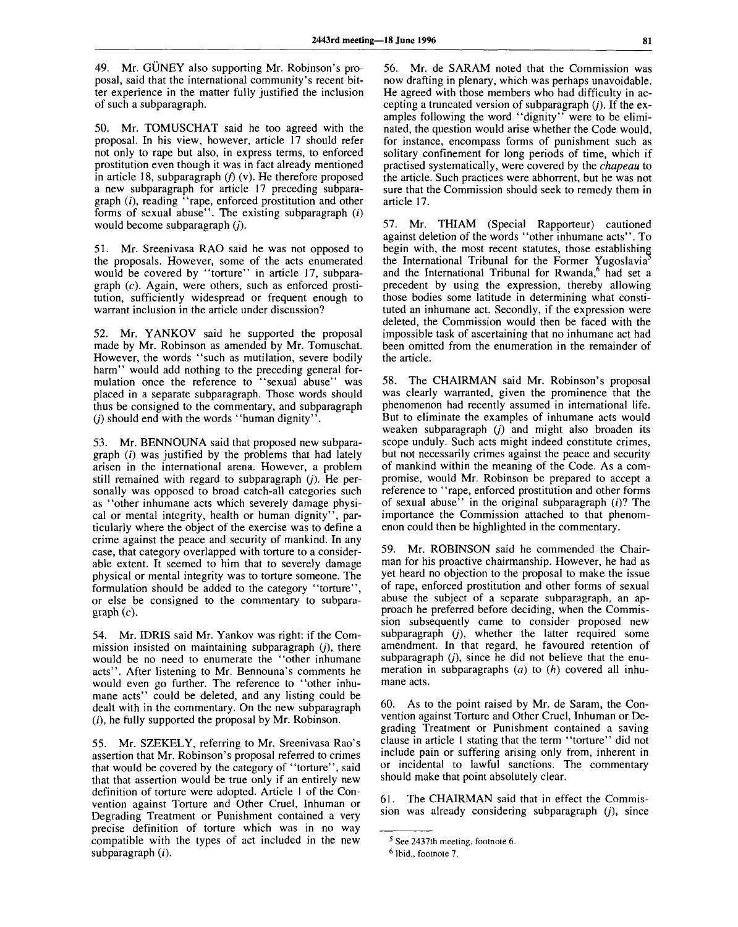49. Mr. GUNEY also supporting Mr. Robinson's proposal, said that the international community's recent bitter experience in the matter fully justified the inclusion of such a subparagraph.

50. Mr. TOMUSCHAT said he too agreed with the proposal. In his view, however, article 17 should refer not only to rape but also, in express terms, to enforced prostitution even though it was in fact already mentioned in article 18, subparagraph  $(f)$  (v). He therefore proposed a new subparagraph for article 17 preceding subparagraph  $(i)$ , reading "rape, enforced prostitution and other forms of sexual abuse". The existing subparagraph  $(i)$ would become subparagraph *(j).*

51. Mr. Sreenivasa RAO said he was not opposed to the proposals. However, some of the acts enumerated would be covered by "torture" in article 17, subparagraph  $(c)$ . Again, were others, such as enforced prostitution, sufficiently widespread or frequent enough to warrant inclusion in the article under discussion?

52. Mr. YANKOV said he supported the proposal made by Mr. Robinson as amended by Mr. Tomuschat. However, the words "such as mutilation, severe bodily harm" would add nothing to the preceding general formulation once the reference to "sexual abuse" was placed in a separate subparagraph. Those words should thus be consigned to the commentary, and subparagraph *(j)* should end with the words "human dignity".

53. Mr. BENNOUNA said that proposed new subparagraph  $(i)$  was justified by the problems that had lately arisen in the international arena. However, a problem still remained with regard to subparagraph *(j).* He personally was opposed to broad catch-all categories such as "other inhumane acts which severely damage physical or mental integrity, health or human dignity", particularly where the object of the exercise was to define a crime against the peace and security of mankind. In any case, that category overlapped with torture to a considerable extent. It seemed to him that to severely damage physical or mental integrity was to torture someone. The formulation should be added to the category "torture", or else be consigned to the commentary to subpara $graph (c)$ .

54. Mr. IDRIS said Mr. Yankov was right: if the Commission insisted on maintaining subparagraph *(J),* there would be no need to enumerate the "other inhumane acts". After listening to Mr. Bennouna's comments he would even go further. The reference to "other inhumane acts" could be deleted, and any listing could be dealt with in the commentary. On the new subparagraph  $(i)$ , he fully supported the proposal by Mr. Robinson.

55. Mr. SZEKELY, referring to Mr. Sreenivasa Rao's assertion that Mr. Robinson's proposal referred to crimes that would be covered by the category of "torture", said that that assertion would be true only if an entirely new definition of torture were adopted. Article 1 of the Convention against Torture and Other Cruel, Inhuman or Degrading Treatment or Punishment contained a very precise definition of torture which was in no way compatible with the types of act included in the new subparagraph  $(i)$ .

56. Mr. de SARAM noted that the Commission was now drafting in plenary, which was perhaps unavoidable. He agreed with those members who had difficulty in accepting a truncated version of subparagraph *(j).* If the examples following the word "dignity" were to be eliminated, the question would arise whether the Code would, for instance, encompass forms of punishment such as solitary confinement for long periods of time, which if practised systematically, were covered by the *chapeau* to the article. Such practices were abhorrent, but he was not sure that the Commission should seek to remedy them in article 17.

57. Mr. THIAM (Special Rapporteur) cautioned against deletion of the words "other inhumane acts". To begin with, the most recent statutes, those establishing the International Tribunal for the Former Yugoslavia and the International Tribunal for Rwanda,<sup>6</sup> had set a precedent by using the expression, thereby allowing those bodies some latitude in determining what constituted an inhumane act. Secondly, if the expression were deleted, the Commission would then be faced with the impossible task of ascertaining that no inhumane act had been omitted from the enumeration in the remainder of the article.

58. The CHAIRMAN said Mr. Robinson's proposal was clearly warranted, given the prominence that the phenomenon had recently assumed in international life. But to eliminate the examples of inhumane acts would weaken subparagraph *(j)* and might also broaden its scope unduly. Such acts might indeed constitute crimes, but not necessarily crimes against the peace and security of mankind within the meaning of the Code. As a compromise, would Mr. Robinson be prepared to accept a reference to "rape, enforced prostitution and other forms of sexual abuse" in the original subparagraph  $(i)$ ? The importance the Commission attached to that phenomenon could then be highlighted in the commentary.

59. Mr. ROBINSON said he commended the Chairman for his proactive chairmanship. However, he had as yet heard no objection to the proposal to make the issue of rape, enforced prostitution and other forms of sexual abuse the subject of a separate subparagraph, an approach he preferred before deciding, when the Commission subsequently came to consider proposed new subparagraph *(j),* whether the latter required some amendment. In that regard, he favoured retention of subparagraph *(j),* since he did not believe that the enumeration in subparagraphs *(a)* to *(h)* covered all inhumane acts.

60. As to the point raised by Mr. de Saram, the Convention against Torture and Other Cruel, Inhuman or Degrading Treatment or Punishment contained a saving clause in article 1 stating that the term "torture" did not include pain or suffering arising only from, inherent in or incidental to lawful sanctions. The commentary should make that point absolutely clear.

61. The CHAIRMAN said that in effect the Commission was already considering subparagraph  $(j)$ , since

<sup>&</sup>lt;sup>5</sup> See 2437th meeting, footnote 6.

<sup>6</sup> Ibid., footnote 7.